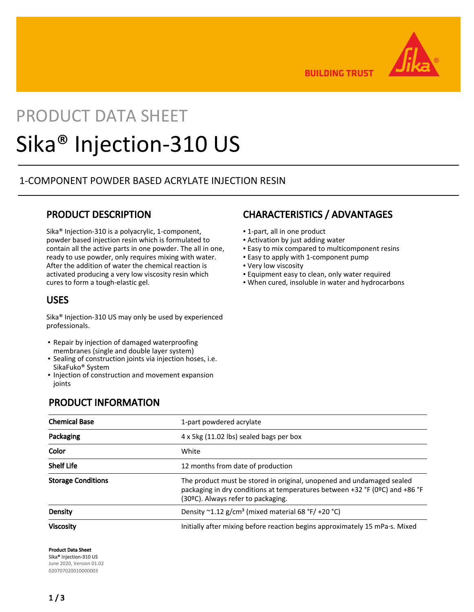

**BUILDING TRUST** 

# PRODUCT DATA SHEET Sika® Injection-310 US

## 1-COMPONENT POWDER BASED ACRYLATE INJECTION RESIN

## PRODUCT DESCRIPTION

Sika® Injection-310 is a polyacrylic, 1-component, powder based injection resin which is formulated to contain all the active parts in one powder. The all in one, ready to use powder, only requires mixing with water. After the addition of water the chemical reaction is activated producing a very low viscosity resin which cures to form a tough-elastic gel.

## USES

Sika® Injection-310 US may only be used by experienced professionals.

- Repair by injection of damaged waterproofing membranes (single and double layer system)
- Sealing of construction joints via injection hoses, i.e. SikaFuko® System
- **.** Injection of construction and movement expansion joints

## PRODUCT INFORMATION

# CHARACTERISTICS / ADVANTAGES

- 1-part, all in one product
- **EXEC** Activation by just adding water
- **Easy to mix compared to multicomponent resins**
- **Easy to apply with 1-component pump**
- Very low viscosity
- **Equipment easy to clean, only water required**
- When cured, insoluble in water and hydrocarbons

| <b>Chemical Base</b>      | 1-part powdered acrylate                                                                                                                                                                   |
|---------------------------|--------------------------------------------------------------------------------------------------------------------------------------------------------------------------------------------|
| Packaging                 | 4 x 5kg (11.02 lbs) sealed bags per box                                                                                                                                                    |
| Color                     | White                                                                                                                                                                                      |
| <b>Shelf Life</b>         | 12 months from date of production                                                                                                                                                          |
| <b>Storage Conditions</b> | The product must be stored in original, unopened and undamaged sealed<br>packaging in dry conditions at temperatures between +32 °F (0ºC) and +86 °F<br>(30ºC). Always refer to packaging. |
| Density                   | Density $\sim$ 1.12 g/cm <sup>3</sup> (mixed material 68 °F/ +20 °C)                                                                                                                       |
| <b>Viscosity</b>          | Initially after mixing before reaction begins approximately 15 mPa·s. Mixed                                                                                                                |

Product Data Sheet

Sika® Injection-310 US June 2020, Version 01.02 020707020010000003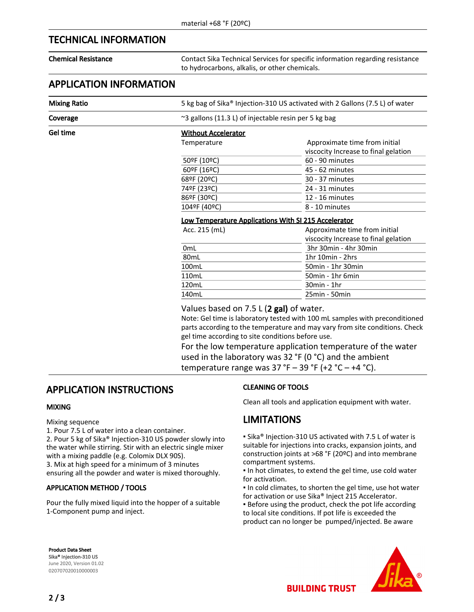## TECHNICAL INFORMATION

Chemical Resistance Contact Sika Technical Services for specific information regarding resistance to hydrocarbons, alkalis, or other chemicals.

## APPLICATION INFORMATION

Mixing Ratio 5 kg bag of Sika® Injection-310 US activated with 2 Gallons (7.5 L) of water

Coverage  $\sim$  3 gallons (11.3 L) of injectable resin per 5 kg bag

Gel time **Without Accelerator** 

| Temnerature |
|-------------|
|             |

| Temperature  | Approximate time from initial<br>viscocity Increase to final gelation |
|--------------|-----------------------------------------------------------------------|
| 50ºF (10ºC)  | 60 - 90 minutes                                                       |
| 60ºF (16ºC)  | 45 - 62 minutes                                                       |
| 68ºF (20°C)  | 30 - 37 minutes                                                       |
| 74ºF (23ºC)  | 24 - 31 minutes                                                       |
| 86ºF (30ºC)  | 12 - 16 minutes                                                       |
| 104ºF (40ºC) | 8 - 10 minutes                                                        |
|              |                                                                       |

#### Low Temperature Applications With SI 215 Accelerator

| Acc. 215 (mL)    | Approximate time from initial<br>viscocity Increase to final gelation |
|------------------|-----------------------------------------------------------------------|
|                  |                                                                       |
| 0 <sub>mL</sub>  | 3hr 30min - 4hr 30min                                                 |
| 80 <sub>mL</sub> | 1hr 10min - 2hrs                                                      |
| 100mL            | 50min - 1hr 30min                                                     |
| 110mL            | 50min - 1hr 6min                                                      |
| 120mL            | $30min - 1hr$                                                         |
| 140mL            | 25min - 50min                                                         |
|                  |                                                                       |

Values based on 7.5 L (2 gal) of water.

Note: Gel time is laboratory tested with 100 mL samples with preconditioned parts according to the temperature and may vary from site conditions. Check gel time according to site conditions before use.

For the low temperature application temperature of the water used in the laboratory was 32 °F (0 °C) and the ambient temperature range was  $37 °F - 39 °F$  (+2  $°C - +4 °C$ ).

## APPLICATION INSTRUCTIONS

#### MIXING

Mixing sequence

1. Pour 7.5 L of water into a clean container.

2. Pour 5 kg of Sika® Injection-310 US powder slowly into the water while stirring. Stir with an electric single mixer with a mixing paddle (e.g. Colomix DLX 90S).

3. Mix at high speed for a minimum of 3 minutes

ensuring all the powder and water is mixed thoroughly.

#### APPLICATION METHOD / TOOLS

Pour the fully mixed liquid into the hopper of a suitable 1-Component pump and inject.

### CLEANING OF TOOLS

Clean all tools and application equipment with water.

## LIMITATIONS

▪ Sika® Injection-310 US activated with 7.5 L of water is suitable for injections into cracks, expansion joints, and construction joints at >68 °F (20ºC) and into membrane compartment systems.

▪ In hot climates, to extend the gel time, use cold water for activation.

▪ In cold climates, to shorten the gel time, use hot water for activation or use Sika® Inject 215 Accelerator.

**• Before using the product, check the pot life according** to local site conditions. If pot life is exceeded the product can no longer be pumped/injected. Be aware

Product Data Sheet Sika® Injection-310 US June 2020, Version 01.02 020707020010000003



2 / 3

**BUILDING TRUST**